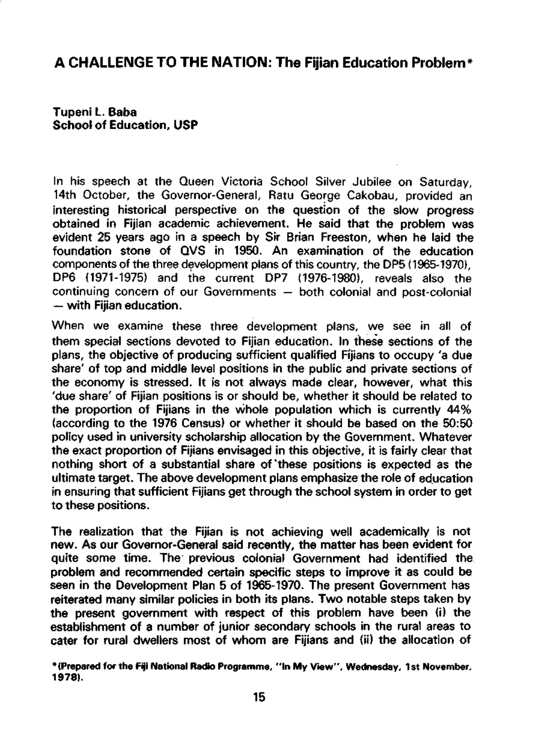## **A CHALLENGE TO THE NATION: The Fijian Education Problem\***

**Tupeni L. Baba School of Education, USP** 

In his speech at the Queen Victoria School Silver Jubilee on Saturday, 14th October, the Governor-General, Ratu George Cakobau, provided an interesting historical perspective on the question of the slow progress obtained in Fijian academic achievement. He said that the problem was evident 25 years ago in a speech by Sir Brian Freeston, when he laid the foundation stone of QVS in 1950. An examination of the education components of the three development plans of this country, the DP5 (1965-1970), DP6 (1971-1975) and the current DP7 (1976-1980), reveals also the continuing concern of our Governments — both colonial and post-colonial — with Fijian education.

When we examine these three development plans, we see in all of them special sections devoted to Fijian education. In these sections of the plans, the objective of producing sufficient qualified Fijians to occupy 'a due share' of top and middle level positions in the public and private sections of the economy is stressed. It is not always made clear, however, what this 'due share' of Fijian positions is or should be, whether it should be related to the proportion of Fijians in the whole population which is currently 44% (according to the 1976 Census) or whether it should be based on the 50:50 policy used in university scholarship allocation by the Government. Whatever the exact proportion of Fijians envisaged in this objective, it is fairly clear that nothing short of a substantial share of 'these positions is expected as the ultimate target. The above development plans emphasize the role of education in ensuring that sufficient Fijians get through the school system in order to get to these positions.

The realization that the Fijian is not achieving well academically is not new. As our Governor-General said recently, the matter has been evident for quite some time. The previous colonial Government had identified the problem and recommended certain specific steps to improve it as could be seen in the Development Plan 5 of 1965-1970. The present Government has reiterated many similar policies in both its plans. Two notable steps taken by the present government with respect of this problem have been (i) the establishment of a number of junior secondary schools in the rural areas to cater for rural dwellers most of whom are Fijians and (ii) the allocation of

**'(Prepared for the Fiji National Radio Programme, "In My View", Wednesday, 1st November, 1978).**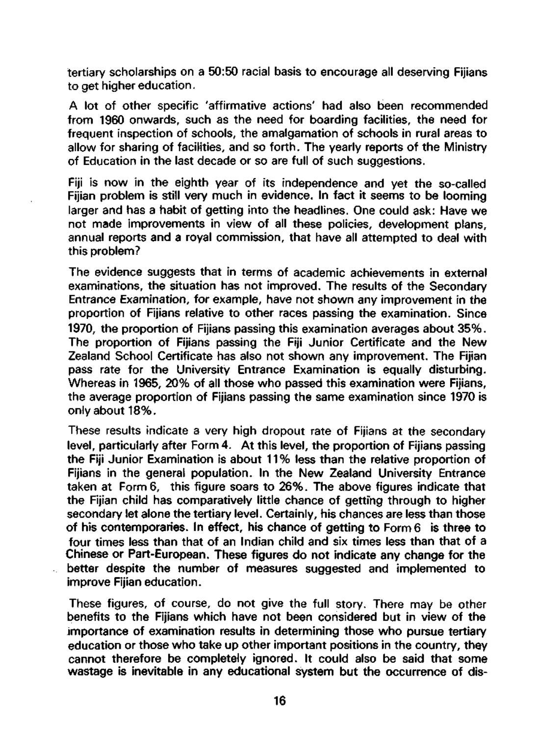tertiary scholarships on a 50:50 racial basis to encourage all deserving Fijians to get higher education.

A lot of other specific 'affirmative actions' had also been recommended from 1960 onwards, such as the need for boarding facilities, the need for frequent inspection of schools, the amalgamation of schools in rural areas to allow for sharing of facilities, and so forth. The yearly reports of the Ministry of Education in the last decade or so are full of such suggestions.

Fiji is now in the eighth year of its independence and yet the so-called Fijian problem is still very much in evidence. In fact it seems to be looming larger and has a habit of getting into the headlines. One could ask: Have we not made improvements in view of all these policies, development plans, annual reports and a royal commission, that have all attempted to deal with this problem?

The evidence suggests that in terms of academic achievements in external examinations, the situation has not improved. The results of the Secondary Entrance Examination, for example, have not shown any improvement in the proportion of Fijians relative to other races passing the examination. Since 1970, the proportion of Fijians passing this examination averages about 35%. The proportion of Fijians passing the Fiji Junior Certificate and the New Zealand School Certificate has also not shown any improvement. The Fijian pass rate for the University Entrance Examination is equally disturbing. Whereas in 1965, 20% of all those who passed this examination were Fijians, the average proportion of Fijians passing the same examination since 1970 is only about 18%.

These results indicate a very high dropout rate of Fijians at the secondary level, particularly after Form 4. At this level, the proportion of Fijians passing the Fiji Junior Examination is about 11 % less than the relative proportion of Fijians in the general population. In the New Zealand University Entrance taken at Form 6, this figure soars to 26%. The above figures indicate that the Fijian child has comparatively little chance of getting through to higher secondary let alone the tertiary level. Certainly, his chances are less than those of his contemporaries. In effect, his chance of getting to Form 6 is three to four times less than that of an Indian child and six times less than that of a Chinese or Part-European. These figures do not indicate any change for the better despite the number of measures suggested and implemented to improve Fijian education.

These figures, of course, do not give the full story. There may be other benefits to the Fijians which have not been considered but in view of the importance of examination results in determining those who pursue tertiary education or those who take up other important positions in the country, they cannot therefore be completely ignored. It could also be said that some wastage is inevitable in any educational system but the occurrence of dis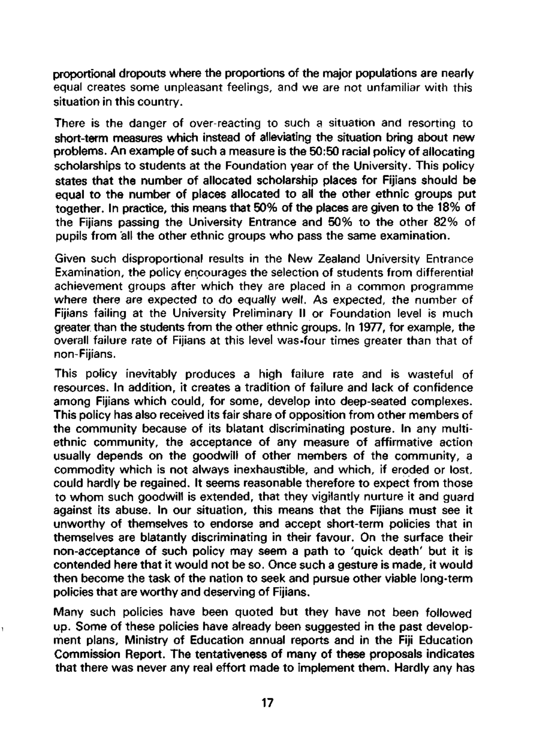proportional dropouts where the proportions of the major populations are nearly equal creates some unpleasant feelings, and we are not unfamiliar with this situation in this country.

There is the danger of over-reacting to such a situation and resorting to short-term measures which instead of alleviating the situation bring about new problems. An example of such a measure is the 50:50 racial policy of allocating scholarships to students at the Foundation year of the University. This policy states that the number of allocated scholarship places for Fijians should be equal to the number of places allocated to all the other ethnic groups put together. In practice, this means that 50% of the places are given to the 18% of the Fijians passing the University Entrance and 50% to the other 82% of pupils from all the other ethnic groups who pass the same examination.

Given such disproportional results in the New Zealand University Entrance Examination, the policy encourages the selection of students from differential achievement groups after which they are placed in a common programme where there are expected to do equally well. As expected, the number of Fijians failing at the University Preliminary II or Foundation level is much greater than the students from the other ethnic groups. In 1977, for example, the overall failure rate of Fijians at this level was.four times greater than that of non-Fijians.

This policy inevitably produces a high failure rate and is wasteful of resources. In addition, it creates a tradition of failure and lack of confidence among Fijians which could, for some, develop into deep-seated complexes. This policy has also received its fair share of opposition from other members of the community because of its blatant discriminating posture. In any multiethnic community, the acceptance of any measure of affirmative action usually depends on the goodwill of other members of the community, a commodity which is not always inexhaustible, and which, if eroded or lost, could hardly be regained. It seems reasonable therefore to expect from those to whom such goodwill is extended, that they vigilantly nurture it and guard against its abuse. In our situation, this means that the Fijians must see it unworthy of themselves to endorse and accept short-term policies that in themselves are blatantly discriminating in their favour. On the surface their non-acceptance of such policy may seem a path to 'quick death' but it is contended here that it would not be so. Once such a gesture is made, it would then become the task of the nation to seek and pursue other viable long-term policies that are worthy and deserving of Fijians.

Many such policies have been quoted but they have not been followed up. Some of these policies have already been suggested in the past development plans, Ministry of Education annual reports and in the Fiji Education Commission Report. The tentativeness of many of these proposals indicates that there was never any real effort made to implement them. Hardly any has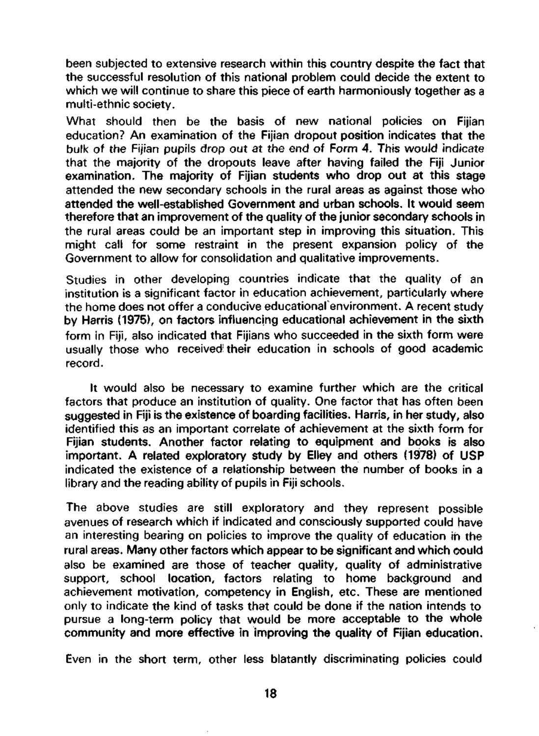been subjected to extensive research within this country despite the fact that the successful resolution of this national problem could decide the extent to which we will continue to share this piece of earth harmoniously together as a multi-ethnic society.

What should then be the basis of new national policies on Fijian education? An examination of the Fijian dropout position indicates that the bulk of the Fijian pupils drop out at the end of Form 4. This would indicate that the majority of the dropouts leave after having failed the Fiji Junior examination. The majority of Fijian students who drop out at this stage attended the new secondary schools in the rural areas as against those who attended the well-established Government and urban schools. It would seem therefore that an improvement of the quality of the junior secondary schools in the rural areas could be an important step in improving this situation. This might call for some restraint in the present expansion policy of the Government to allow for consolidation and qualitative improvements.

Studies in other developing countries indicate that the quality of an institution is a significant factor in education achievement, particularly where the home does not offer a conducive educational environment. A recent study by Harris (1975), on factors influencing educational achievement in the sixth form in Fiji, also indicated that Fijians who succeeded in the sixth form were usually those who received' their education in schools of good academic record.

It would also be necessary to examine further which are the critical factors that produce an institution of quality. One factor that has often been suggested in Fiji is the existence of boarding facilities. Harris, in her study, also identified this as an important correlate of achievement at the sixth form for Fijian students. Another factor relating to equipment and books is also important. A related exploratory study by Elley and others (1978) of USP indicated the existence of a relationship between the number of books in a library and the reading ability of pupils in Fiji schools.

The above studies are still exploratory and they represent possible avenues of research which if indicated and consciously supported could have an interesting bearing on policies to improve the quality of education in the rural areas. Many other factors which appear to be significant and which could also be examined are those of teacher quality, quality of administrative support, school location, factors relating to home background and achievement motivation, competency in English, etc. These are mentioned only to indicate the kind of tasks that could be done if the nation intends to pursue a long-term policy that would be more acceptable to the whole community and more effective in improving the quality of Fijian education.

Even in the short term, other less blatantly discriminating policies could